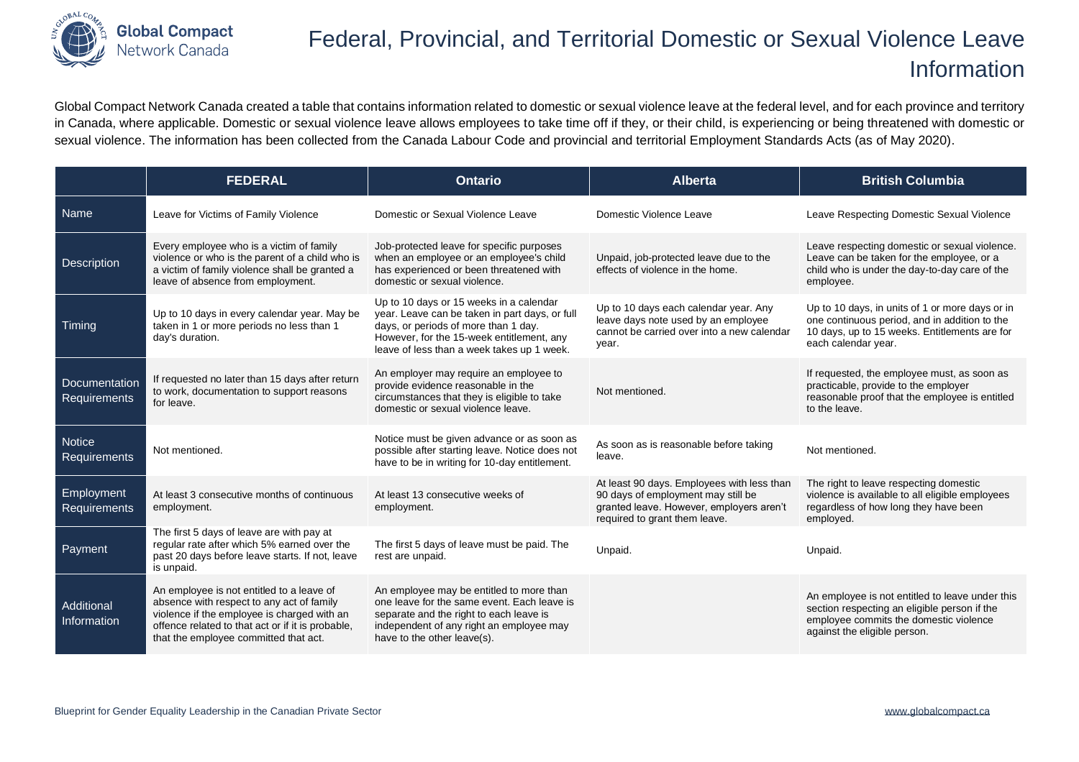

## Federal, Provincial, and Territorial Domestic or Sexual Violence Leave Information

Global Compact Network Canada created a table that contains information related to domestic or sexual violence leave at the federal level, and for each province and territory in Canada, where applicable. Domestic or sexual violence leave allows employees to take time off if they, or their child, is experiencing or being threatened with domestic or sexual violence. The information has been collected from the Canada Labour Code and provincial and territorial Employment Standards Acts (as of May 2020).

|                               | <b>FEDERAL</b>                                                                                                                                                                                                                      | <b>Ontario</b>                                                                                                                                                                                                               | <b>Alberta</b>                                                                                                                                                | <b>British Columbia</b>                                                                                                                                                   |
|-------------------------------|-------------------------------------------------------------------------------------------------------------------------------------------------------------------------------------------------------------------------------------|------------------------------------------------------------------------------------------------------------------------------------------------------------------------------------------------------------------------------|---------------------------------------------------------------------------------------------------------------------------------------------------------------|---------------------------------------------------------------------------------------------------------------------------------------------------------------------------|
| Name                          | Leave for Victims of Family Violence                                                                                                                                                                                                | Domestic or Sexual Violence Leave                                                                                                                                                                                            | Domestic Violence Leave                                                                                                                                       | Leave Respecting Domestic Sexual Violence                                                                                                                                 |
| Description                   | Every employee who is a victim of family<br>violence or who is the parent of a child who is<br>a victim of family violence shall be granted a<br>leave of absence from employment.                                                  | Job-protected leave for specific purposes<br>when an employee or an employee's child<br>has experienced or been threatened with<br>domestic or sexual violence.                                                              | Unpaid, job-protected leave due to the<br>effects of violence in the home.                                                                                    | Leave respecting domestic or sexual violence.<br>Leave can be taken for the employee, or a<br>child who is under the day-to-day care of the<br>employee.                  |
| Timing                        | Up to 10 days in every calendar year. May be<br>taken in 1 or more periods no less than 1<br>day's duration.                                                                                                                        | Up to 10 days or 15 weeks in a calendar<br>year. Leave can be taken in part days, or full<br>days, or periods of more than 1 day.<br>However, for the 15-week entitlement, any<br>leave of less than a week takes up 1 week. | Up to 10 days each calendar year. Any<br>leave days note used by an employee<br>cannot be carried over into a new calendar<br>year.                           | Up to 10 days, in units of 1 or more days or in<br>one continuous period, and in addition to the<br>10 days, up to 15 weeks. Entitlements are for<br>each calendar year.  |
| Documentation<br>Requirements | If requested no later than 15 days after return<br>to work, documentation to support reasons<br>for leave.                                                                                                                          | An employer may require an employee to<br>provide evidence reasonable in the<br>circumstances that they is eligible to take<br>domestic or sexual violence leave.                                                            | Not mentioned.                                                                                                                                                | If requested, the employee must, as soon as<br>practicable, provide to the employer<br>reasonable proof that the employee is entitled<br>to the leave.                    |
| Notice<br>Requirements        | Not mentioned.                                                                                                                                                                                                                      | Notice must be given advance or as soon as<br>possible after starting leave. Notice does not<br>have to be in writing for 10-day entitlement.                                                                                | As soon as is reasonable before taking<br>leave.                                                                                                              | Not mentioned.                                                                                                                                                            |
| Employment<br>Requirements    | At least 3 consecutive months of continuous<br>employment.                                                                                                                                                                          | At least 13 consecutive weeks of<br>employment.                                                                                                                                                                              | At least 90 days. Employees with less than<br>90 days of employment may still be<br>granted leave. However, employers aren't<br>required to grant them leave. | The right to leave respecting domestic<br>violence is available to all eligible employees<br>regardless of how long they have been<br>employed.                           |
| Payment                       | The first 5 days of leave are with pay at<br>regular rate after which 5% earned over the<br>past 20 days before leave starts. If not, leave<br>is unpaid.                                                                           | The first 5 days of leave must be paid. The<br>rest are unpaid.                                                                                                                                                              | Unpaid.                                                                                                                                                       | Unpaid.                                                                                                                                                                   |
| Additional<br>Information     | An employee is not entitled to a leave of<br>absence with respect to any act of family<br>violence if the employee is charged with an<br>offence related to that act or if it is probable,<br>that the employee committed that act. | An employee may be entitled to more than<br>one leave for the same event. Each leave is<br>separate and the right to each leave is<br>independent of any right an employee may<br>have to the other leave(s).                |                                                                                                                                                               | An employee is not entitled to leave under this<br>section respecting an eligible person if the<br>employee commits the domestic violence<br>against the eligible person. |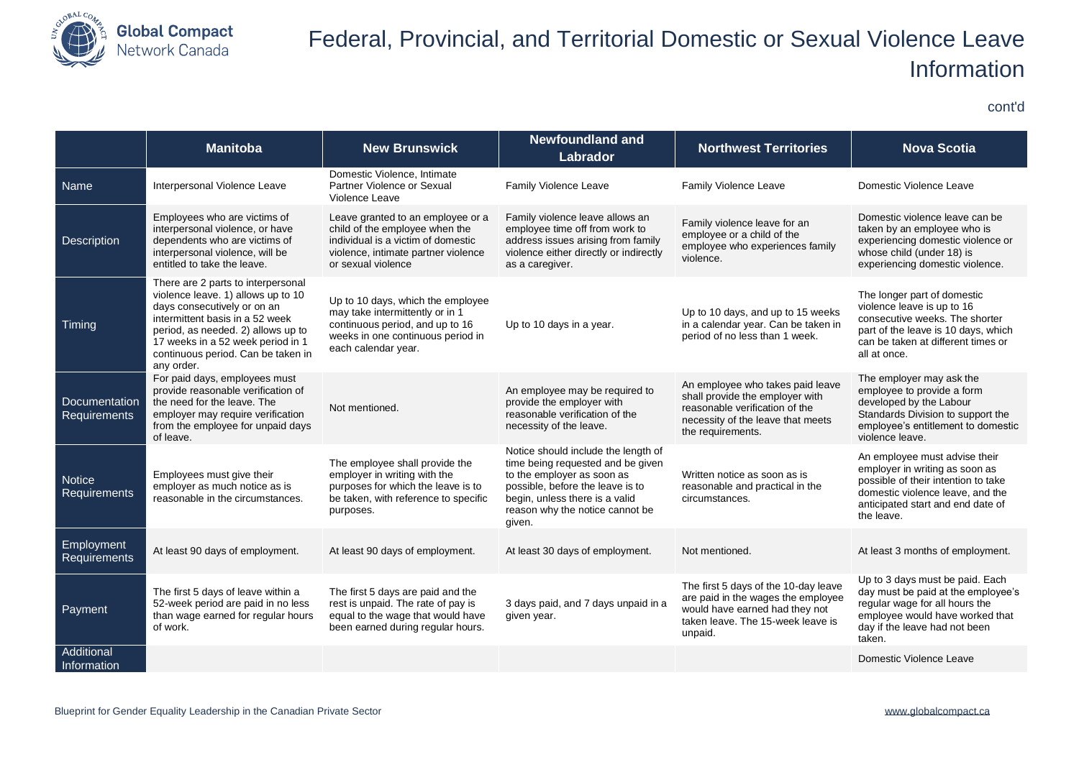

cont'd

|                                             | <b>Manitoba</b>                                                                                                                                                                                                                                                           | <b>New Brunswick</b>                                                                                                                                                   | <b>Newfoundland and</b><br>Labrador                                                                                                                                                                                       | <b>Northwest Territories</b>                                                                                                                                    | <b>Nova Scotia</b>                                                                                                                                                                            |
|---------------------------------------------|---------------------------------------------------------------------------------------------------------------------------------------------------------------------------------------------------------------------------------------------------------------------------|------------------------------------------------------------------------------------------------------------------------------------------------------------------------|---------------------------------------------------------------------------------------------------------------------------------------------------------------------------------------------------------------------------|-----------------------------------------------------------------------------------------------------------------------------------------------------------------|-----------------------------------------------------------------------------------------------------------------------------------------------------------------------------------------------|
| <b>Name</b>                                 | Interpersonal Violence Leave                                                                                                                                                                                                                                              | Domestic Violence, Intimate<br>Partner Violence or Sexual<br>Violence Leave                                                                                            | Family Violence Leave                                                                                                                                                                                                     | <b>Family Violence Leave</b>                                                                                                                                    | Domestic Violence Leave                                                                                                                                                                       |
| <b>Description</b>                          | Employees who are victims of<br>interpersonal violence, or have<br>dependents who are victims of<br>interpersonal violence, will be<br>entitled to take the leave.                                                                                                        | Leave granted to an employee or a<br>child of the employee when the<br>individual is a victim of domestic<br>violence, intimate partner violence<br>or sexual violence | Family violence leave allows an<br>employee time off from work to<br>address issues arising from family<br>violence either directly or indirectly<br>as a caregiver.                                                      | Family violence leave for an<br>employee or a child of the<br>employee who experiences family<br>violence.                                                      | Domestic violence leave can be<br>taken by an employee who is<br>experiencing domestic violence or<br>whose child (under 18) is<br>experiencing domestic violence.                            |
| Timing                                      | There are 2 parts to interpersonal<br>violence leave. 1) allows up to 10<br>days consecutively or on an<br>intermittent basis in a 52 week<br>period, as needed. 2) allows up to<br>17 weeks in a 52 week period in 1<br>continuous period. Can be taken in<br>any order. | Up to 10 days, which the employee<br>may take intermittently or in 1<br>continuous period, and up to 16<br>weeks in one continuous period in<br>each calendar year.    | Up to 10 days in a year.                                                                                                                                                                                                  | Up to 10 days, and up to 15 weeks<br>in a calendar year. Can be taken in<br>period of no less than 1 week.                                                      | The longer part of domestic<br>violence leave is up to 16<br>consecutive weeks. The shorter<br>part of the leave is 10 days, which<br>can be taken at different times or<br>all at once.      |
| <b>Documentation</b><br><b>Requirements</b> | For paid days, employees must<br>provide reasonable verification of<br>the need for the leave. The<br>employer may require verification<br>from the employee for unpaid days<br>of leave.                                                                                 | Not mentioned.                                                                                                                                                         | An employee may be required to<br>provide the employer with<br>reasonable verification of the<br>necessity of the leave.                                                                                                  | An employee who takes paid leave<br>shall provide the employer with<br>reasonable verification of the<br>necessity of the leave that meets<br>the requirements. | The employer may ask the<br>employee to provide a form<br>developed by the Labour<br>Standards Division to support the<br>employee's entitlement to domestic<br>violence leave.               |
| <b>Notice</b><br>Requirements               | Employees must give their<br>employer as much notice as is<br>reasonable in the circumstances.                                                                                                                                                                            | The employee shall provide the<br>employer in writing with the<br>purposes for which the leave is to<br>be taken, with reference to specific<br>purposes.              | Notice should include the length of<br>time being requested and be given<br>to the employer as soon as<br>possible, before the leave is to<br>begin, unless there is a valid<br>reason why the notice cannot be<br>given. | Written notice as soon as is<br>reasonable and practical in the<br>circumstances.                                                                               | An employee must advise their<br>employer in writing as soon as<br>possible of their intention to take<br>domestic violence leave, and the<br>anticipated start and end date of<br>the leave. |
| Employment<br><b>Requirements</b>           | At least 90 days of employment.                                                                                                                                                                                                                                           | At least 90 days of employment.                                                                                                                                        | At least 30 days of employment.                                                                                                                                                                                           | Not mentioned.                                                                                                                                                  | At least 3 months of employment.                                                                                                                                                              |
| Payment                                     | The first 5 days of leave within a<br>52-week period are paid in no less<br>than wage earned for regular hours<br>of work.                                                                                                                                                | The first 5 days are paid and the<br>rest is unpaid. The rate of pay is<br>equal to the wage that would have<br>been earned during regular hours.                      | 3 days paid, and 7 days unpaid in a<br>given year.                                                                                                                                                                        | The first 5 days of the 10-day leave<br>are paid in the wages the employee<br>would have earned had they not<br>taken leave. The 15-week leave is<br>unpaid.    | Up to 3 days must be paid. Each<br>day must be paid at the employee's<br>regular wage for all hours the<br>employee would have worked that<br>day if the leave had not been<br>taken.         |
| Additional<br>Information                   |                                                                                                                                                                                                                                                                           |                                                                                                                                                                        |                                                                                                                                                                                                                           |                                                                                                                                                                 | Domestic Violence Leave                                                                                                                                                                       |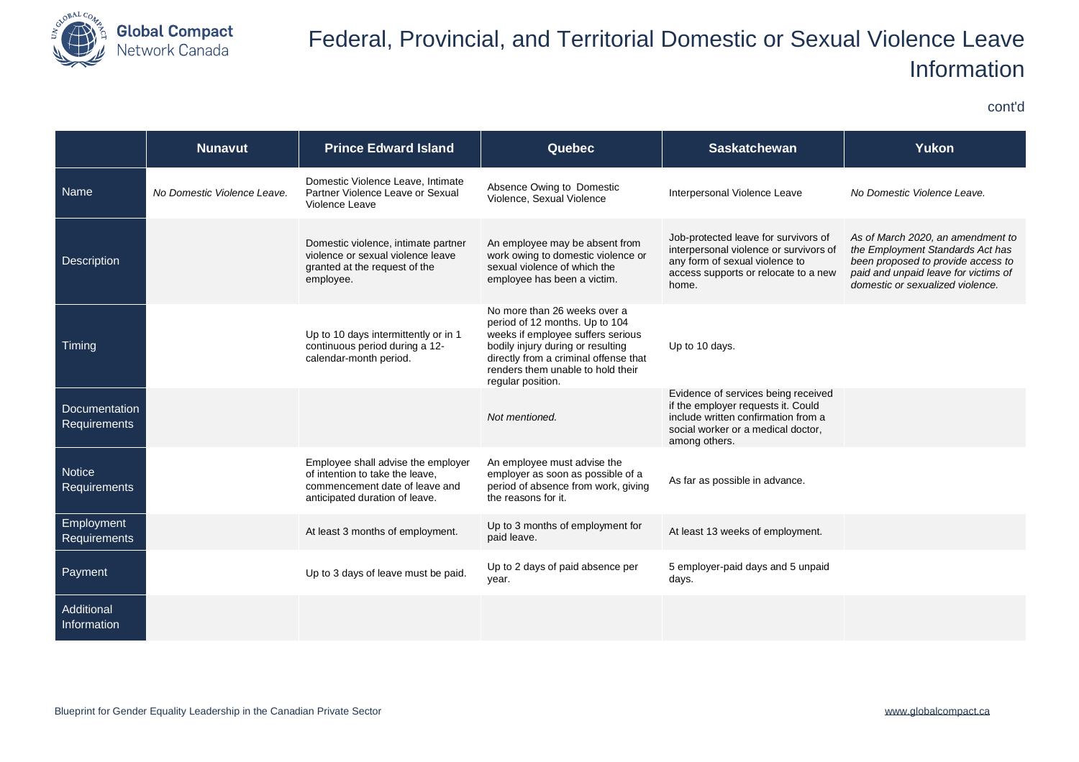

cont'd

|                                   | <b>Nunavut</b>              | <b>Prince Edward Island</b>                                                                                                               | <b>Quebec</b>                                                                                                                                                                                                                               | <b>Saskatchewan</b>                                                                                                                                                     | Yukon                                                                                                                                                                                   |
|-----------------------------------|-----------------------------|-------------------------------------------------------------------------------------------------------------------------------------------|---------------------------------------------------------------------------------------------------------------------------------------------------------------------------------------------------------------------------------------------|-------------------------------------------------------------------------------------------------------------------------------------------------------------------------|-----------------------------------------------------------------------------------------------------------------------------------------------------------------------------------------|
| Name                              | No Domestic Violence Leave. | Domestic Violence Leave, Intimate<br>Partner Violence Leave or Sexual<br>Violence Leave                                                   | Absence Owing to Domestic<br>Violence, Sexual Violence                                                                                                                                                                                      | Interpersonal Violence Leave                                                                                                                                            | No Domestic Violence Leave.                                                                                                                                                             |
| <b>Description</b>                |                             | Domestic violence, intimate partner<br>violence or sexual violence leave<br>granted at the request of the<br>employee.                    | An employee may be absent from<br>work owing to domestic violence or<br>sexual violence of which the<br>employee has been a victim.                                                                                                         | Job-protected leave for survivors of<br>interpersonal violence or survivors of<br>any form of sexual violence to<br>access supports or relocate to a new<br>home.       | As of March 2020, an amendment to<br>the Employment Standards Act has<br>been proposed to provide access to<br>paid and unpaid leave for victims of<br>domestic or sexualized violence. |
| Timing                            |                             | Up to 10 days intermittently or in 1<br>continuous period during a 12-<br>calendar-month period.                                          | No more than 26 weeks over a<br>period of 12 months. Up to 104<br>weeks if employee suffers serious<br>bodily injury during or resulting<br>directly from a criminal offense that<br>renders them unable to hold their<br>regular position. | Up to 10 days.                                                                                                                                                          |                                                                                                                                                                                         |
| Documentation<br>Requirements     |                             |                                                                                                                                           | Not mentioned.                                                                                                                                                                                                                              | Evidence of services being received<br>if the employer requests it. Could<br>include written confirmation from a<br>social worker or a medical doctor,<br>among others. |                                                                                                                                                                                         |
| <b>Notice</b><br>Requirements     |                             | Employee shall advise the employer<br>of intention to take the leave.<br>commencement date of leave and<br>anticipated duration of leave. | An employee must advise the<br>employer as soon as possible of a<br>period of absence from work, giving<br>the reasons for it.                                                                                                              | As far as possible in advance.                                                                                                                                          |                                                                                                                                                                                         |
| Employment<br><b>Requirements</b> |                             | At least 3 months of employment.                                                                                                          | Up to 3 months of employment for<br>paid leave.                                                                                                                                                                                             | At least 13 weeks of employment.                                                                                                                                        |                                                                                                                                                                                         |
| Payment                           |                             | Up to 3 days of leave must be paid.                                                                                                       | Up to 2 days of paid absence per<br>year.                                                                                                                                                                                                   | 5 employer-paid days and 5 unpaid<br>days.                                                                                                                              |                                                                                                                                                                                         |
| Additional<br>Information         |                             |                                                                                                                                           |                                                                                                                                                                                                                                             |                                                                                                                                                                         |                                                                                                                                                                                         |